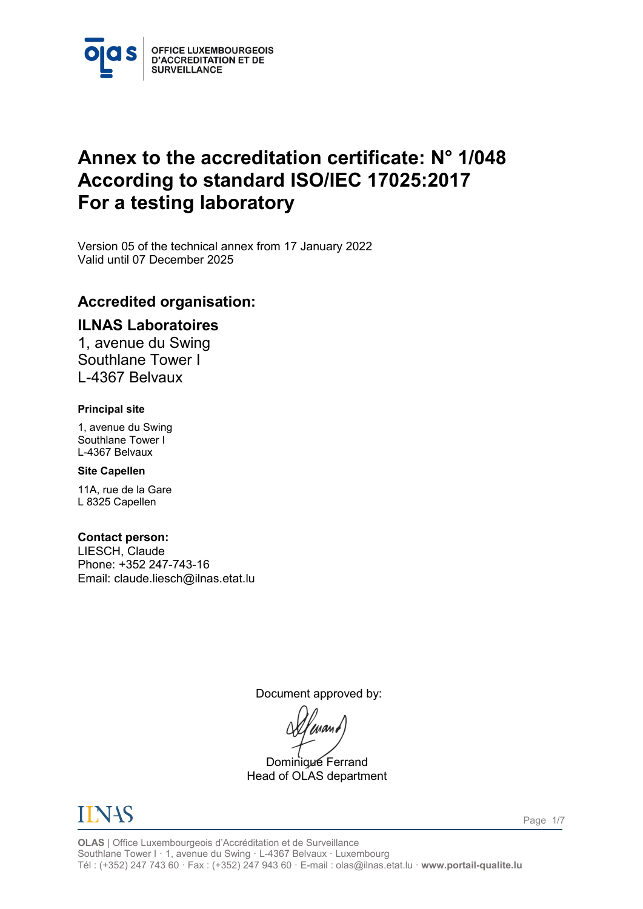

# **Annex to the accreditation certificate: N° 1/048 According to standard ISO/IEC 17025:2017 For a testing laboratory**

<span id="page-0-1"></span><span id="page-0-0"></span>Version 05 of the technical annex from 17 January 2022 Valid until 07 December 2025

### **Accredited organisation:**

### **ILNAS Laboratoires**

1, avenue du Swing Southlane Tower I L-4367 Belvaux

#### **Principal site**

1, avenue du Swing Southlane Tower I L-4367 Belvaux

#### **Site Capellen**

11A, rue de la Gare L 8325 Capellen

#### **Contact person:**

LIESCH, Claude Phone: +352 247-743-16 Email: claude.liesch@ilnas.etat.lu

Document approved by:

Dominique Ferrand Head of OLAS department



**OLAS** | Office Luxembourgeois d'Accréditation et de Surveillance Southlane Tower I · 1, avenue du Swing · L-4367 Belvaux · Luxembourg Tél : (+352) 247 743 60 · Fax : (+352) 247 943 60 · E-mail : olas@ilnas.etat.lu · **www.portail-qualite.lu**

Page 1/7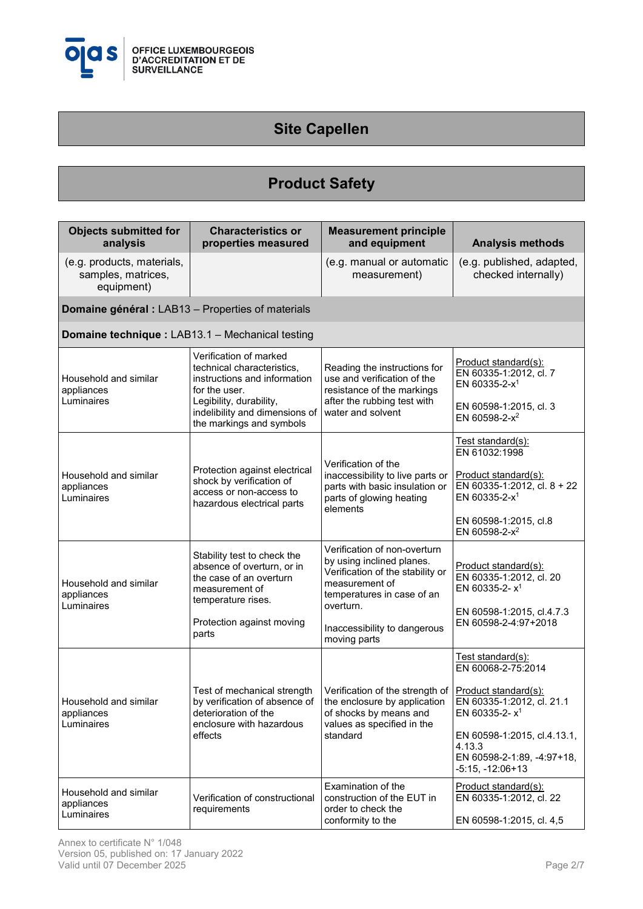

## **Site Capellen**

## **Product Safety**

| <b>Objects submitted for</b><br>analysis                       | <b>Characteristics or</b><br>properties measured                                                                                                                                               | <b>Measurement principle</b><br>and equipment                                                                                                                                                              | <b>Analysis methods</b>                                                                                                                                                                                        |
|----------------------------------------------------------------|------------------------------------------------------------------------------------------------------------------------------------------------------------------------------------------------|------------------------------------------------------------------------------------------------------------------------------------------------------------------------------------------------------------|----------------------------------------------------------------------------------------------------------------------------------------------------------------------------------------------------------------|
| (e.g. products, materials,<br>samples, matrices,<br>equipment) |                                                                                                                                                                                                | (e.g. manual or automatic<br>measurement)                                                                                                                                                                  | (e.g. published, adapted,<br>checked internally)                                                                                                                                                               |
| Domaine général : LAB13 - Properties of materials              |                                                                                                                                                                                                |                                                                                                                                                                                                            |                                                                                                                                                                                                                |
| Domaine technique : LAB13.1 - Mechanical testing               |                                                                                                                                                                                                |                                                                                                                                                                                                            |                                                                                                                                                                                                                |
| Household and similar<br>appliances<br>Luminaires              | Verification of marked<br>technical characteristics,<br>instructions and information<br>for the user.<br>Legibility, durability,<br>indelibility and dimensions of<br>the markings and symbols | Reading the instructions for<br>use and verification of the<br>resistance of the markings<br>after the rubbing test with<br>water and solvent                                                              | Product standard(s):<br>EN 60335-1:2012, cl. 7<br>EN 60335-2-x <sup>1</sup><br>EN 60598-1:2015, cl. 3<br>EN 60598-2-x <sup>2</sup>                                                                             |
| Household and similar<br>appliances<br>Luminaires              | Protection against electrical<br>shock by verification of<br>access or non-access to<br>hazardous electrical parts                                                                             | Verification of the<br>inaccessibility to live parts or<br>parts with basic insulation or<br>parts of glowing heating<br>elements                                                                          | <u> Test standard(s):</u><br>EN 61032:1998<br>Product standard(s):<br>EN 60335-1:2012, cl. 8 + 22<br>EN 60335-2-x <sup>1</sup><br>EN 60598-1:2015, cl.8<br>EN 60598-2-x <sup>2</sup>                           |
| Household and similar<br>appliances<br>Luminaires              | Stability test to check the<br>absence of overturn, or in<br>the case of an overturn<br>measurement of<br>temperature rises.<br>Protection against moving<br>parts                             | Verification of non-overturn<br>by using inclined planes.<br>Verification of the stability or<br>measurement of<br>temperatures in case of an<br>overturn.<br>Inaccessibility to dangerous<br>moving parts | Product standard(s):<br>EN 60335-1:2012, cl. 20<br>EN 60335-2- $x^1$<br>EN 60598-1:2015, cl.4.7.3<br>EN 60598-2-4:97+2018                                                                                      |
| Household and similar<br>appliances<br>Luminaires              | Test of mechanical strength<br>by verification of absence of<br>deterioration of the<br>enclosure with hazardous<br>effects                                                                    | Verification of the strength of<br>the enclosure by application<br>of shocks by means and<br>values as specified in the<br>standard                                                                        | Test standard(s):<br>EN 60068-2-75:2014<br>Product standard(s):<br>EN 60335-1:2012, cl. 21.1<br>EN 60335-2- $x^1$<br>EN 60598-1:2015, cl.4.13.1,<br>4.13.3<br>EN 60598-2-1:89, -4:97+18,<br>$-5:15, -12:06+13$ |
| Household and similar<br>appliances<br>Luminaires              | Verification of constructional<br>requirements                                                                                                                                                 | Examination of the<br>construction of the EUT in<br>order to check the<br>conformity to the                                                                                                                | Product standard(s):<br>EN 60335-1:2012, cl. 22<br>EN 60598-1:2015, cl. 4,5                                                                                                                                    |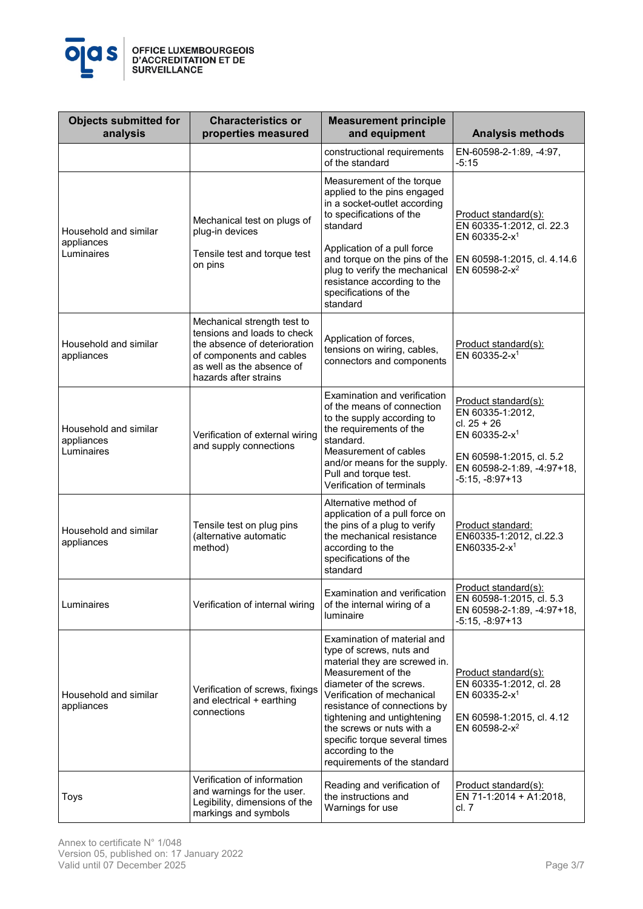

| <b>Objects submitted for</b><br>analysis          | <b>Characteristics or</b><br>properties measured                                                                                                                             | <b>Measurement principle</b><br>and equipment                                                                                                                                                                                                                                                                                                            | <b>Analysis methods</b>                                                                                                                                               |
|---------------------------------------------------|------------------------------------------------------------------------------------------------------------------------------------------------------------------------------|----------------------------------------------------------------------------------------------------------------------------------------------------------------------------------------------------------------------------------------------------------------------------------------------------------------------------------------------------------|-----------------------------------------------------------------------------------------------------------------------------------------------------------------------|
|                                                   |                                                                                                                                                                              | constructional requirements<br>of the standard                                                                                                                                                                                                                                                                                                           | EN-60598-2-1:89, -4:97,<br>$-5:15$                                                                                                                                    |
| Household and similar<br>appliances<br>Luminaires | Mechanical test on plugs of<br>plug-in devices<br>Tensile test and torque test<br>on pins                                                                                    | Measurement of the torque<br>applied to the pins engaged<br>in a socket-outlet according<br>to specifications of the<br>standard<br>Application of a pull force<br>and torque on the pins of the<br>plug to verify the mechanical<br>resistance according to the<br>specifications of the<br>standard                                                    | Product standard(s):<br>EN 60335-1:2012, cl. 22.3<br>EN 60335-2-x <sup>1</sup><br>EN 60598-1:2015, cl. 4.14.6<br>EN 60598-2-x <sup>2</sup>                            |
| Household and similar<br>appliances               | Mechanical strength test to<br>tensions and loads to check<br>the absence of deterioration<br>of components and cables<br>as well as the absence of<br>hazards after strains | Application of forces,<br>tensions on wiring, cables,<br>connectors and components                                                                                                                                                                                                                                                                       | Product standard(s):<br>EN 60335-2-x <sup>1</sup>                                                                                                                     |
| Household and similar<br>appliances<br>Luminaires | Verification of external wiring<br>and supply connections                                                                                                                    | Examination and verification<br>of the means of connection<br>to the supply according to<br>the requirements of the<br>standard.<br>Measurement of cables<br>and/or means for the supply.<br>Pull and torque test.<br>Verification of terminals                                                                                                          | Product standard(s):<br>EN 60335-1:2012,<br>$cl. 25 + 26$<br>EN 60335-2-x <sup>1</sup><br>EN 60598-1:2015, cl. 5.2<br>EN 60598-2-1:89, -4:97+18,<br>$-5:15, -8:97+13$ |
| Household and similar<br>appliances               | Tensile test on plug pins<br>(alternative automatic<br>method)                                                                                                               | Alternative method of<br>application of a pull force on<br>the pins of a plug to verify<br>the mechanical resistance<br>according to the<br>specifications of the<br>standard                                                                                                                                                                            | Product standard:<br>EN60335-1:2012, cl.22.3<br>EN60335-2- $x^1$                                                                                                      |
| Luminaires                                        | Verification of internal wiring                                                                                                                                              | Examination and verification<br>of the internal wiring of a<br><b>luminaire</b>                                                                                                                                                                                                                                                                          | Product standard(s):<br>EN 60598-1:2015, cl. 5.3<br>EN 60598-2-1:89, -4:97+18,<br>-5:15, -8:97+13                                                                     |
| Household and similar<br>appliances               | Verification of screws, fixings<br>and electrical + earthing<br>connections                                                                                                  | Examination of material and<br>type of screws, nuts and<br>material they are screwed in.<br>Measurement of the<br>diameter of the screws.<br>Verification of mechanical<br>resistance of connections by<br>tightening and untightening<br>the screws or nuts with a<br>specific torque several times<br>according to the<br>requirements of the standard | Product standard(s):<br>EN 60335-1:2012, cl. 28<br>EN 60335-2-x <sup>1</sup><br>EN 60598-1:2015, cl. 4.12<br>EN 60598-2-x <sup>2</sup>                                |
| Toys                                              | Verification of information<br>and warnings for the user.<br>Legibility, dimensions of the<br>markings and symbols                                                           | Reading and verification of<br>the instructions and<br>Warnings for use                                                                                                                                                                                                                                                                                  | Product standard(s):<br>EN 71-1:2014 + A1:2018,<br>cl. 7                                                                                                              |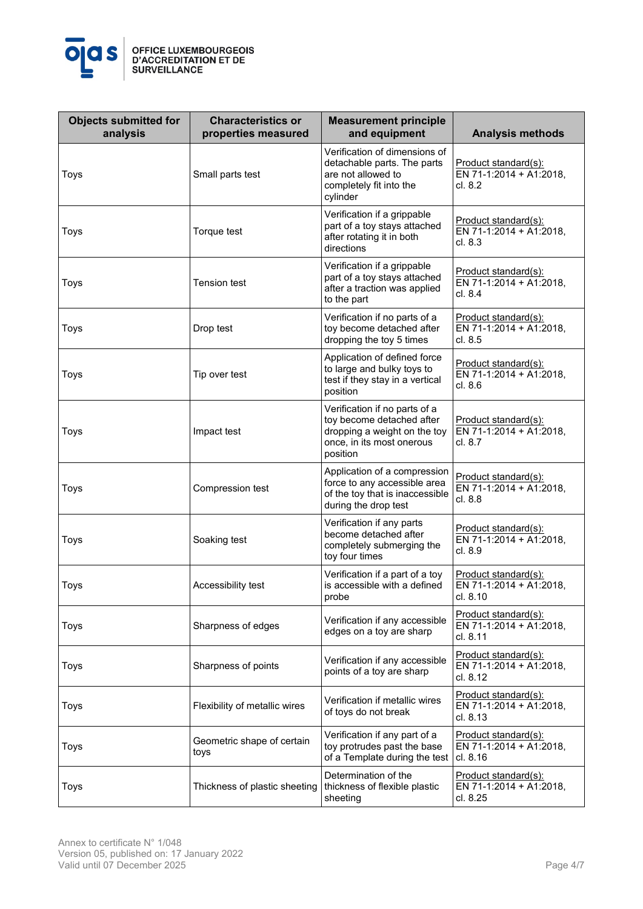

| <b>Objects submitted for</b><br>analysis | <b>Characteristics or</b><br>properties measured | <b>Measurement principle</b><br>and equipment                                                                                       | <b>Analysis methods</b>                                            |
|------------------------------------------|--------------------------------------------------|-------------------------------------------------------------------------------------------------------------------------------------|--------------------------------------------------------------------|
| Toys                                     | Small parts test                                 | Verification of dimensions of<br>detachable parts. The parts<br>are not allowed to<br>completely fit into the<br>cylinder           | <u>Product standard(s):</u><br>EN 71-1:2014 + A1:2018,<br>cl. 8.2  |
| Toys                                     | Torque test                                      | Verification if a grippable<br>part of a toy stays attached<br>after rotating it in both<br>directions                              | <u> Product standard(s):</u><br>EN 71-1:2014 + A1:2018,<br>cl. 8.3 |
| Toys                                     | <b>Tension test</b>                              | Verification if a grippable<br>part of a toy stays attached<br>after a traction was applied<br>to the part                          | <u> Product standard(s):</u><br>EN 71-1:2014 + A1:2018,<br>cl. 8.4 |
| Toys                                     | Drop test                                        | Verification if no parts of a<br>toy become detached after<br>dropping the toy 5 times                                              | <u>Product standard(s):</u><br>EN 71-1:2014 + A1:2018,<br>cl. 8.5  |
| Toys                                     | Tip over test                                    | Application of defined force<br>to large and bulky toys to<br>test if they stay in a vertical<br>position                           | <u> Product standard(s):</u><br>EN 71-1:2014 + A1:2018,<br>cl. 8.6 |
| Toys                                     | Impact test                                      | Verification if no parts of a<br>toy become detached after<br>dropping a weight on the toy<br>once, in its most onerous<br>position | Product standard(s):<br>EN 71-1:2014 + A1:2018,<br>cl. 8.7         |
| Toys                                     | Compression test                                 | Application of a compression<br>force to any accessible area<br>of the toy that is inaccessible<br>during the drop test             | Product standard(s):<br>EN 71-1:2014 + A1:2018,<br>cl. 8.8         |
| Toys                                     | Soaking test                                     | Verification if any parts<br>become detached after<br>completely submerging the<br>toy four times                                   | Product standard(s):<br>EN 71-1:2014 + A1:2018,<br>cl. 8.9         |
| Toys                                     | Accessibility test                               | Verification if a part of a toy<br>is accessible with a defined<br>probe                                                            | Product standard(s):<br>EN 71-1:2014 + A1:2018,<br>cl. 8.10        |
| Toys                                     | Sharpness of edges                               | Verification if any accessible<br>edges on a toy are sharp                                                                          | <u>Product standard(s):</u><br>EN 71-1:2014 + A1:2018,<br>cl. 8.11 |
| Toys                                     | Sharpness of points                              | Verification if any accessible<br>points of a toy are sharp                                                                         | Product standard(s):<br>EN 71-1:2014 + A1:2018,<br>cl. 8.12        |
| Toys                                     | Flexibility of metallic wires                    | Verification if metallic wires<br>of toys do not break                                                                              | Product standard(s):<br>EN 71-1:2014 + A1:2018,<br>cl. 8.13        |
| Toys                                     | Geometric shape of certain<br>toys               | Verification if any part of a<br>toy protrudes past the base<br>of a Template during the test                                       | Product standard(s):<br>EN 71-1:2014 + A1:2018,<br>cl. 8.16        |
| Toys                                     | Thickness of plastic sheeting                    | Determination of the<br>thickness of flexible plastic<br>sheeting                                                                   | Product standard(s):<br>EN 71-1:2014 + A1:2018,<br>cl. 8.25        |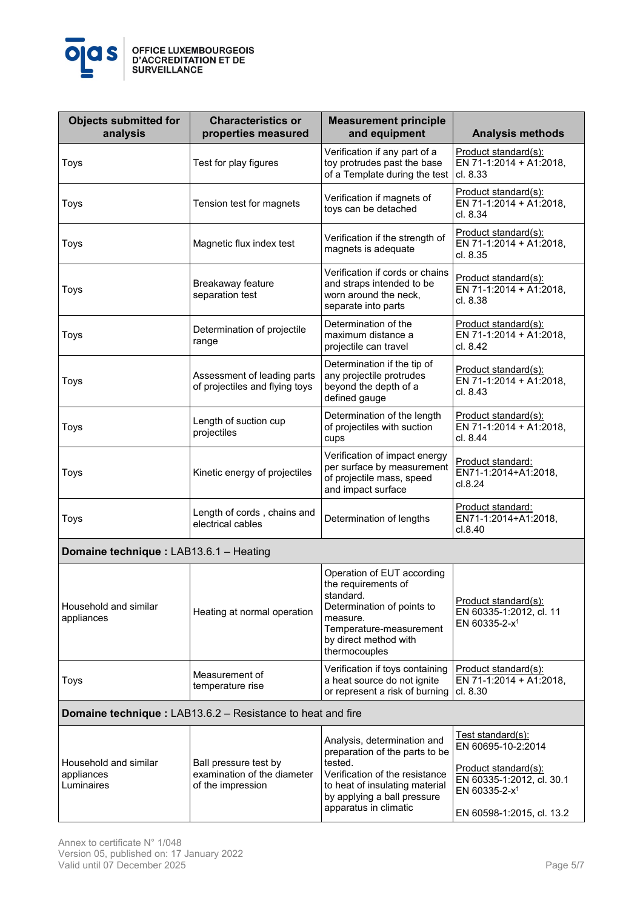

| <b>Objects submitted for</b><br>analysis                          | <b>Characteristics or</b><br>properties measured              | <b>Measurement principle</b><br>and equipment                                                                                                                                 | <b>Analysis methods</b>                                                      |
|-------------------------------------------------------------------|---------------------------------------------------------------|-------------------------------------------------------------------------------------------------------------------------------------------------------------------------------|------------------------------------------------------------------------------|
| Toys                                                              | Test for play figures                                         | Verification if any part of a<br>toy protrudes past the base<br>of a Template during the test                                                                                 | Product standard(s):<br>EN 71-1:2014 + A1:2018,<br>cl. 8.33                  |
| Toys                                                              | Tension test for magnets                                      | Verification if magnets of<br>toys can be detached                                                                                                                            | Product standard(s):<br>EN 71-1:2014 + A1:2018,<br>cl. 8.34                  |
| Toys                                                              | Magnetic flux index test                                      | Verification if the strength of<br>magnets is adequate                                                                                                                        | Product standard(s):<br>EN 71-1:2014 + A1:2018,<br>cl. 8.35                  |
| Toys                                                              | Breakaway feature<br>separation test                          | Verification if cords or chains<br>and straps intended to be<br>worn around the neck,<br>separate into parts                                                                  | Product standard(s):<br>EN 71-1:2014 + A1:2018,<br>cl. 8.38                  |
| Toys                                                              | Determination of projectile<br>range                          | Determination of the<br>maximum distance a<br>projectile can travel                                                                                                           | Product standard(s):<br>EN 71-1:2014 + A1:2018,<br>cl. 8.42                  |
| Toys                                                              | Assessment of leading parts<br>of projectiles and flying toys | Determination if the tip of<br>any projectile protrudes<br>beyond the depth of a<br>defined gauge                                                                             | Product standard(s):<br>EN 71-1:2014 + A1:2018,<br>cl. 8.43                  |
| Toys                                                              | Length of suction cup<br>projectiles                          | Determination of the length<br>of projectiles with suction<br>cups                                                                                                            | Product standard(s):<br>EN 71-1:2014 + A1:2018,<br>cl. 8.44                  |
| Toys                                                              | Kinetic energy of projectiles                                 | Verification of impact energy<br>per surface by measurement<br>of projectile mass, speed<br>and impact surface                                                                | Product standard:<br>EN71-1:2014+A1:2018,<br>cl.8.24                         |
| Toys                                                              | Length of cords, chains and<br>electrical cables              | Determination of lengths                                                                                                                                                      | Product standard:<br>EN71-1:2014+A1:2018,<br>cl.8.40                         |
| Domaine technique : LAB13.6.1 - Heating                           |                                                               |                                                                                                                                                                               |                                                                              |
| Household and similar<br>appliances                               | Heating at normal operation                                   | Operation of EUT according<br>the requirements of<br>standard.<br>Determination of points to<br>measure.<br>Temperature-measurement<br>by direct method with<br>thermocouples | Product standard(s):<br>EN 60335-1:2012, cl. 11<br>EN 60335-2-x <sup>1</sup> |
| Toys                                                              | Measurement of<br>temperature rise                            | Verification if toys containing<br>a heat source do not ignite<br>or represent a risk of burning                                                                              | Product standard(s):<br>EN 71-1:2014 + A1:2018,<br>cl. 8.30                  |
| <b>Domaine technique: LAB13.6.2 - Resistance to heat and fire</b> |                                                               |                                                                                                                                                                               |                                                                              |
|                                                                   |                                                               | Analysis, determination and                                                                                                                                                   | Test standard(s):<br>EN 60695-10-2:2014                                      |

|                                                   |                                                                           | Analysis, determination and<br>preparation of the parts to be                                                                       | 1651 Stariyaryi S <i>i</i> .<br>EN 60695-10-2:2014                                                          |
|---------------------------------------------------|---------------------------------------------------------------------------|-------------------------------------------------------------------------------------------------------------------------------------|-------------------------------------------------------------------------------------------------------------|
| Household and similar<br>appliances<br>Luminaires | Ball pressure test by<br>examination of the diameter<br>of the impression | tested.<br>Verification of the resistance<br>to heat of insulating material<br>by applying a ball pressure<br>apparatus in climatic | Product standard(s):<br>EN 60335-1:2012, cl. 30.1<br>EN 60335-2-x <sup>1</sup><br>EN 60598-1:2015, cl. 13.2 |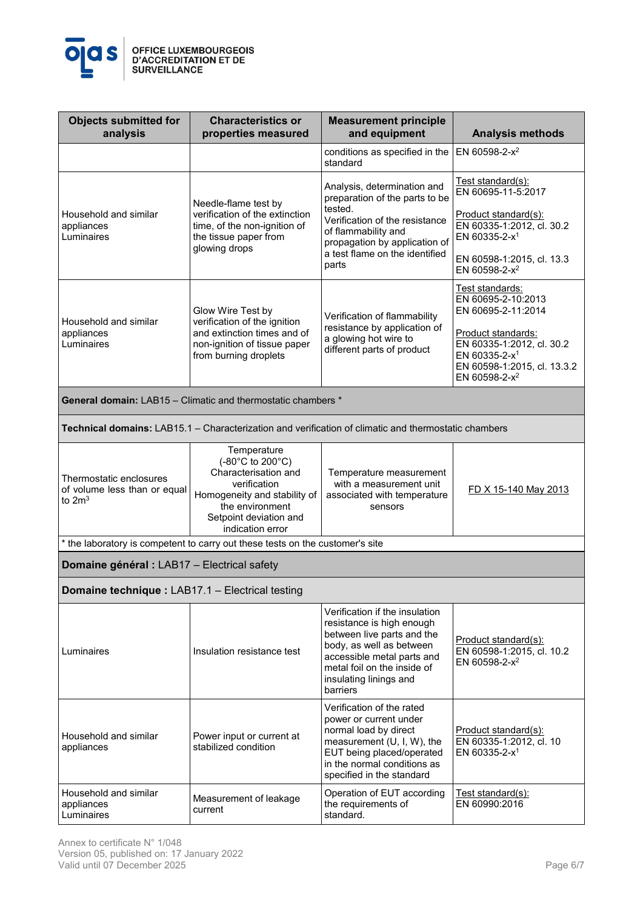

| <b>Objects submitted for</b><br>analysis                            | <b>Characteristics or</b><br>properties measured                                                                                                                         | <b>Measurement principle</b><br>and equipment                                                                                                                                                                            | <b>Analysis methods</b>                                                                                                                                                                                 |
|---------------------------------------------------------------------|--------------------------------------------------------------------------------------------------------------------------------------------------------------------------|--------------------------------------------------------------------------------------------------------------------------------------------------------------------------------------------------------------------------|---------------------------------------------------------------------------------------------------------------------------------------------------------------------------------------------------------|
|                                                                     |                                                                                                                                                                          | conditions as specified in the<br>standard                                                                                                                                                                               | EN 60598-2-x <sup>2</sup>                                                                                                                                                                               |
| Household and similar<br>appliances<br>Luminaires                   | Needle-flame test by<br>verification of the extinction<br>time, of the non-ignition of<br>the tissue paper from<br>glowing drops                                         | Analysis, determination and<br>preparation of the parts to be<br>tested.<br>Verification of the resistance<br>of flammability and<br>propagation by application of<br>a test flame on the identified<br>parts            | Test standard(s):<br>EN 60695-11-5:2017<br>Product standard(s):<br>EN 60335-1:2012, cl. 30.2<br>EN 60335-2- $x^1$<br>EN 60598-1:2015, cl. 13.3<br>EN 60598-2-x <sup>2</sup>                             |
| Household and similar<br>appliances<br>Luminaires                   | Glow Wire Test by<br>verification of the ignition<br>and extinction times and of<br>non-ignition of tissue paper<br>from burning droplets                                | Verification of flammability<br>resistance by application of<br>a glowing hot wire to<br>different parts of product                                                                                                      | Test standards:<br>EN 60695-2-10:2013<br>EN 60695-2-11:2014<br>Product standards:<br>EN 60335-1:2012, cl. 30.2<br>EN 60335-2-x <sup>1</sup><br>EN 60598-1:2015, cl. 13.3.2<br>EN 60598-2-x <sup>2</sup> |
|                                                                     | <b>General domain:</b> LAB15 – Climatic and thermostatic chambers *                                                                                                      |                                                                                                                                                                                                                          |                                                                                                                                                                                                         |
|                                                                     | Technical domains: LAB15.1 - Characterization and verification of climatic and thermostatic chambers                                                                     |                                                                                                                                                                                                                          |                                                                                                                                                                                                         |
| Thermostatic enclosures<br>of volume less than or equal<br>to $2m3$ | Temperature<br>(-80°C to 200°C)<br>Characterisation and<br>verification<br>Homogeneity and stability of<br>the environment<br>Setpoint deviation and<br>indication error | Temperature measurement<br>with a measurement unit<br>associated with temperature<br>sensors                                                                                                                             | FD X 15-140 May 2013                                                                                                                                                                                    |
|                                                                     | * the laboratory is competent to carry out these tests on the customer's site                                                                                            |                                                                                                                                                                                                                          |                                                                                                                                                                                                         |
| Domaine général : LAB17 - Electrical safety                         |                                                                                                                                                                          |                                                                                                                                                                                                                          |                                                                                                                                                                                                         |
| Domaine technique : LAB17.1 - Electrical testing                    |                                                                                                                                                                          |                                                                                                                                                                                                                          |                                                                                                                                                                                                         |
| Luminaires                                                          | Insulation resistance test                                                                                                                                               | Verification if the insulation<br>resistance is high enough<br>between live parts and the<br>body, as well as between<br>accessible metal parts and<br>metal foil on the inside of<br>insulating linings and<br>barriers | Product standard(s):<br>EN 60598-1:2015, cl. 10.2<br>EN 60598-2- $x^2$                                                                                                                                  |
| Household and similar<br>appliances                                 | Power input or current at<br>stabilized condition                                                                                                                        | Verification of the rated<br>power or current under<br>normal load by direct<br>measurement (U, I, W), the<br>EUT being placed/operated<br>in the normal conditions as<br>specified in the standard                      | Product standard(s):<br>EN 60335-1:2012, cl. 10<br>EN 60335-2-x <sup>1</sup>                                                                                                                            |
| Household and similar<br>appliances<br>Luminaires                   | Measurement of leakage<br>current                                                                                                                                        | Operation of EUT according<br>the requirements of<br>standard.                                                                                                                                                           | <u>Test standard(s):</u><br>EN 60990:2016                                                                                                                                                               |